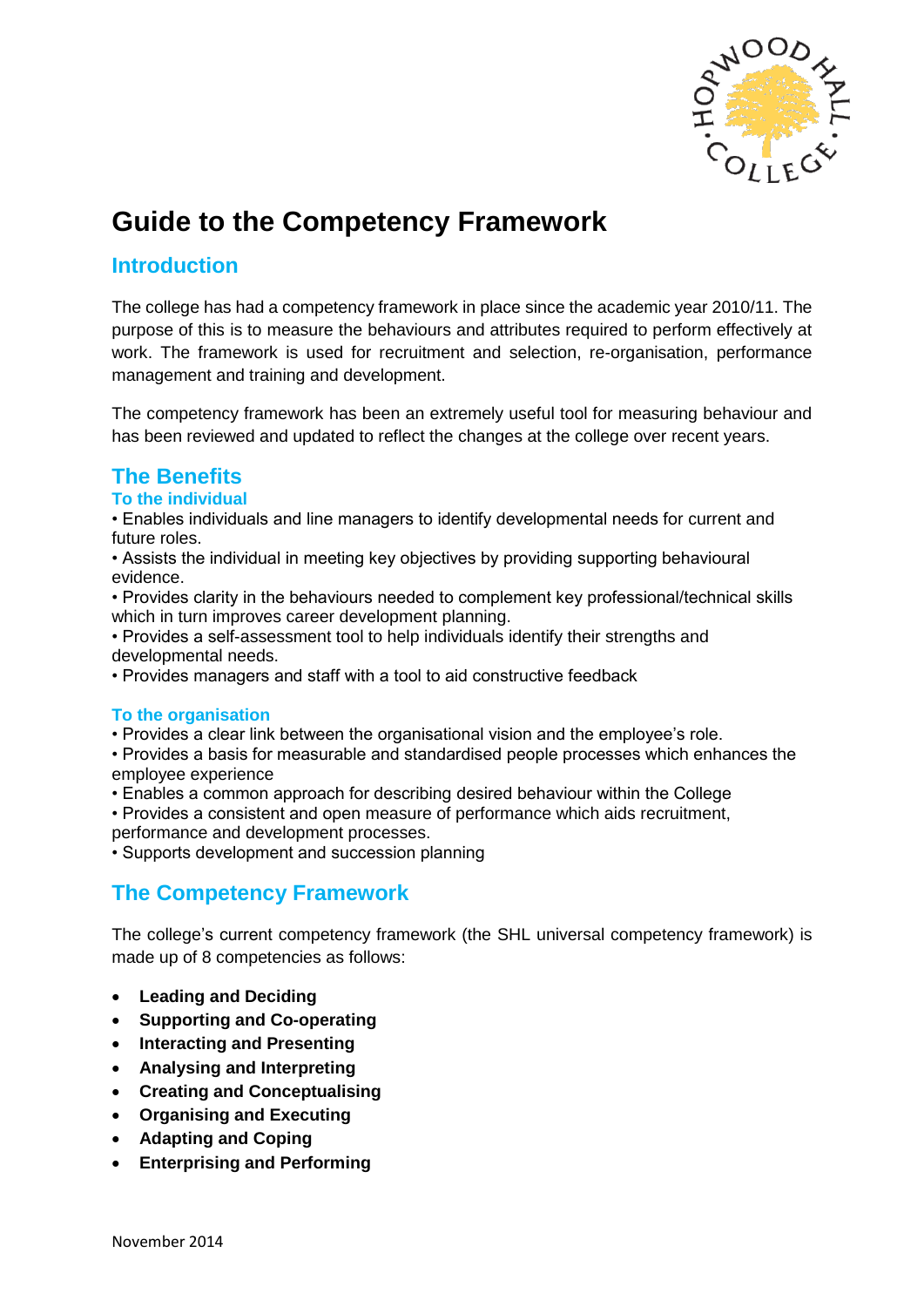

# **Guide to the Competency Framework**

## **Introduction**

The college has had a competency framework in place since the academic year 2010/11. The purpose of this is to measure the behaviours and attributes required to perform effectively at work. The framework is used for recruitment and selection, re-organisation, performance management and training and development.

The competency framework has been an extremely useful tool for measuring behaviour and has been reviewed and updated to reflect the changes at the college over recent years.

## **The Benefits**

### **To the individual**

• Enables individuals and line managers to identify developmental needs for current and future roles.

• Assists the individual in meeting key objectives by providing supporting behavioural evidence.

• Provides clarity in the behaviours needed to complement key professional/technical skills which in turn improves career development planning.

• Provides a self-assessment tool to help individuals identify their strengths and developmental needs.

• Provides managers and staff with a tool to aid constructive feedback

#### **To the organisation**

• Provides a clear link between the organisational vision and the employee's role.

• Provides a basis for measurable and standardised people processes which enhances the employee experience

- Enables a common approach for describing desired behaviour within the College
- Provides a consistent and open measure of performance which aids recruitment,

performance and development processes.

• Supports development and succession planning

## **The Competency Framework**

The college's current competency framework (the SHL universal competency framework) is made up of 8 competencies as follows:

- **Leading and Deciding**
- **Supporting and Co-operating**
- **Interacting and Presenting**
- **Analysing and Interpreting**
- **Creating and Conceptualising**
- **Organising and Executing**
- **Adapting and Coping**
- **Enterprising and Performing**